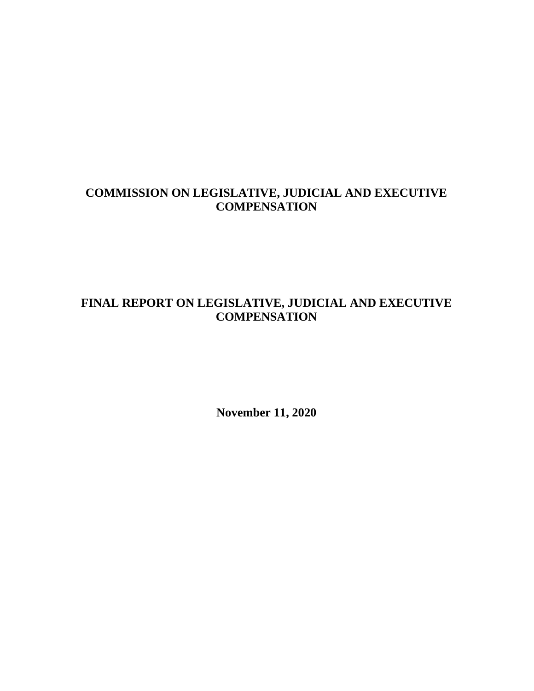### **COMMISSION ON LEGISLATIVE, JUDICIAL AND EXECUTIVE COMPENSATION**

### **FINAL REPORT ON LEGISLATIVE, JUDICIAL AND EXECUTIVE COMPENSATION**

**November 11, 2020**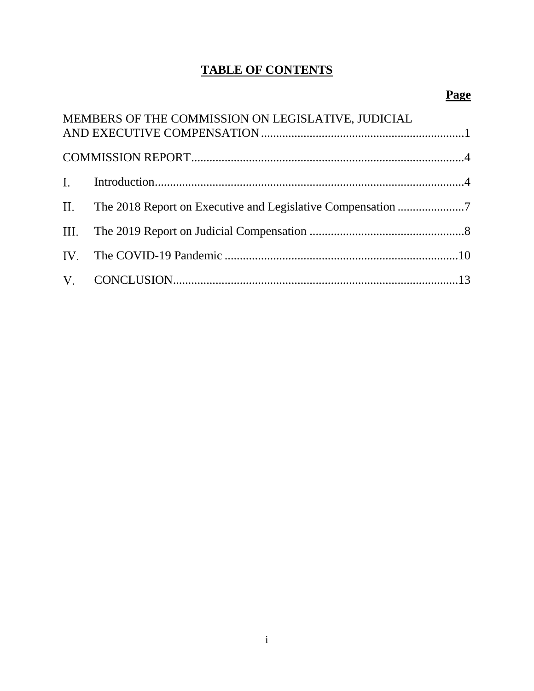# **TABLE OF CONTENTS**

# **Page**

| MEMBERS OF THE COMMISSION ON LEGISLATIVE, JUDICIAL |  |
|----------------------------------------------------|--|
|                                                    |  |
|                                                    |  |
|                                                    |  |
|                                                    |  |
|                                                    |  |
|                                                    |  |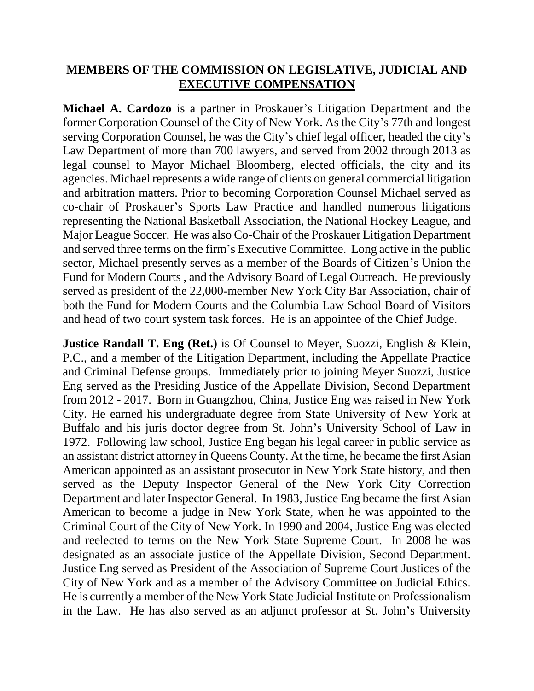## **MEMBERS OF THE COMMISSION ON LEGISLATIVE, JUDICIAL AND EXECUTIVE COMPENSATION**

**Michael A. Cardozo** is a partner in Proskauer's Litigation Department and the former Corporation Counsel of the City of New York. As the City's 77th and longest serving Corporation Counsel, he was the City's chief legal officer, headed the city's Law Department of more than 700 lawyers, and served from 2002 through 2013 as legal counsel to Mayor Michael Bloomberg, elected officials, the city and its agencies. Michael represents a wide range of clients on general commercial litigation and arbitration matters. Prior to becoming Corporation Counsel Michael served as co-chair of Proskauer's Sports Law Practice and handled numerous litigations representing the National Basketball Association, the National Hockey League, and Major League Soccer. He was also Co-Chair of the Proskauer Litigation Department and served three terms on the firm's Executive Committee. Long active in the public sector, Michael presently serves as a member of the Boards of Citizen's Union the Fund for Modern Courts , and the Advisory Board of Legal Outreach. He previously served as president of the 22,000-member New York City Bar Association, chair of both the Fund for Modern Courts and the Columbia Law School Board of Visitors and head of two court system task forces. He is an appointee of the Chief Judge.

**Justice Randall T. Eng (Ret.)** is Of Counsel to Meyer, Suozzi, English & Klein, P.C., and a member of the Litigation Department, including the Appellate Practice and Criminal Defense groups. Immediately prior to joining Meyer Suozzi, Justice Eng served as the Presiding Justice of the Appellate Division, Second Department from 2012 - 2017. Born in Guangzhou, China, Justice Eng was raised in New York City. He earned his undergraduate degree from State University of New York at Buffalo and his juris doctor degree from St. John's University School of Law in 1972. Following law school, Justice Eng began his legal career in public service as an assistant district attorney in Queens County. At the time, he became the first Asian American appointed as an assistant prosecutor in New York State history, and then served as the Deputy Inspector General of the New York City Correction Department and later Inspector General. In 1983, Justice Eng became the first Asian American to become a judge in New York State, when he was appointed to the Criminal Court of the City of New York. In 1990 and 2004, Justice Eng was elected and reelected to terms on the New York State Supreme Court. In 2008 he was designated as an associate justice of the Appellate Division, Second Department. Justice Eng served as President of the Association of Supreme Court Justices of the City of New York and as a member of the Advisory Committee on Judicial Ethics. He is currently a member of the New York State Judicial Institute on Professionalism in the Law. He has also served as an adjunct professor at St. John's University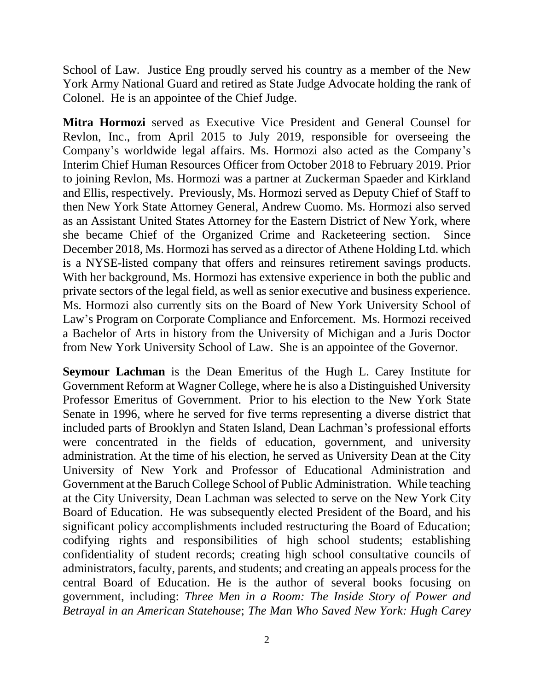School of Law. Justice Eng proudly served his country as a member of the New York Army National Guard and retired as State Judge Advocate holding the rank of Colonel. He is an appointee of the Chief Judge.

**Mitra Hormozi** served as Executive Vice President and General Counsel for Revlon, Inc., from April 2015 to July 2019, responsible for overseeing the Company's worldwide legal affairs. Ms. Hormozi also acted as the Company's Interim Chief Human Resources Officer from October 2018 to February 2019. Prior to joining Revlon, Ms. Hormozi was a partner at Zuckerman Spaeder and Kirkland and Ellis, respectively. Previously, Ms. Hormozi served as Deputy Chief of Staff to then New York State Attorney General, Andrew Cuomo. Ms. Hormozi also served as an Assistant United States Attorney for the Eastern District of New York, where she became Chief of the Organized Crime and Racketeering section. Since December 2018, Ms. Hormozi has served as a director of Athene Holding Ltd. which is a NYSE-listed company that offers and reinsures retirement savings products. With her background, Ms. Hormozi has extensive experience in both the public and private sectors of the legal field, as well as senior executive and business experience. Ms. Hormozi also currently sits on the Board of New York University School of Law's Program on Corporate Compliance and Enforcement. Ms. Hormozi received a Bachelor of Arts in history from the University of Michigan and a Juris Doctor from New York University School of Law. She is an appointee of the Governor.

**Seymour Lachman** is the Dean Emeritus of the Hugh L. Carey Institute for Government Reform at Wagner College, where he is also a Distinguished University Professor Emeritus of Government. Prior to his election to the New York State Senate in 1996, where he served for five terms representing a diverse district that included parts of Brooklyn and Staten Island, Dean Lachman's professional efforts were concentrated in the fields of education, government, and university administration. At the time of his election, he served as University Dean at the City University of New York and Professor of Educational Administration and Government at the Baruch College School of Public Administration. While teaching at the City University, Dean Lachman was selected to serve on the New York City Board of Education. He was subsequently elected President of the Board, and his significant policy accomplishments included restructuring the Board of Education; codifying rights and responsibilities of high school students; establishing confidentiality of student records; creating high school consultative councils of administrators, faculty, parents, and students; and creating an appeals process for the central Board of Education. He is the author of several books focusing on government, including: *Three Men in a Room: The Inside Story of Power and Betrayal in an American Statehouse*; *The Man Who Saved New York: Hugh Carey*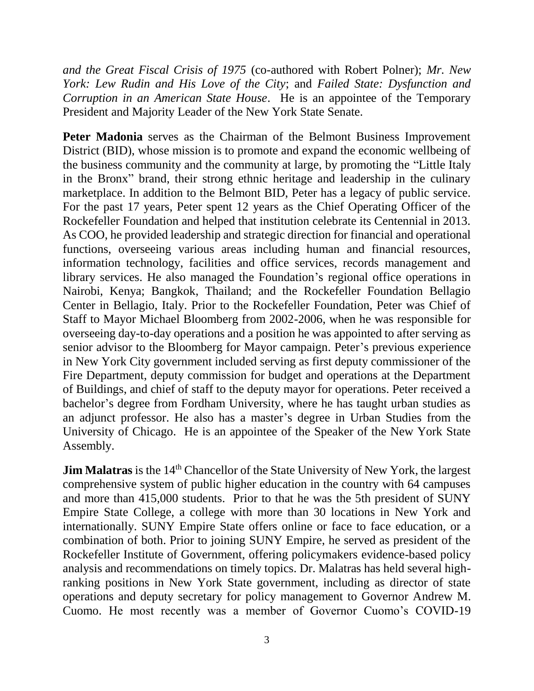*and the Great Fiscal Crisis of 1975* (co-authored with Robert Polner); *Mr. New York: Lew Rudin and His Love of the City*; and *Failed State: Dysfunction and Corruption in an American State House*. He is an appointee of the Temporary President and Majority Leader of the New York State Senate.

**Peter Madonia** serves as the Chairman of the Belmont Business Improvement District (BID), whose mission is to promote and expand the economic wellbeing of the business community and the community at large, by promoting the "Little Italy in the Bronx" brand, their strong ethnic heritage and leadership in the culinary marketplace. In addition to the Belmont BID, Peter has a legacy of public service. For the past 17 years, Peter spent 12 years as the Chief Operating Officer of the Rockefeller Foundation and helped that institution celebrate its Centennial in 2013. As COO, he provided leadership and strategic direction for financial and operational functions, overseeing various areas including human and financial resources, information technology, facilities and office services, records management and library services. He also managed the Foundation's regional office operations in Nairobi, Kenya; Bangkok, Thailand; and the Rockefeller Foundation Bellagio Center in Bellagio, Italy. Prior to the Rockefeller Foundation, Peter was Chief of Staff to Mayor Michael Bloomberg from 2002-2006, when he was responsible for overseeing day-to-day operations and a position he was appointed to after serving as senior advisor to the Bloomberg for Mayor campaign. Peter's previous experience in New York City government included serving as first deputy commissioner of the Fire Department, deputy commission for budget and operations at the Department of Buildings, and chief of staff to the deputy mayor for operations. Peter received a bachelor's degree from Fordham University, where he has taught urban studies as an adjunct professor. He also has a master's degree in Urban Studies from the University of Chicago. He is an appointee of the Speaker of the New York State Assembly.

**Jim Malatras** is the 14<sup>th</sup> Chancellor of the State University of New York, the largest comprehensive system of public higher education in the country with 64 campuses and more than 415,000 students. Prior to that he was the 5th president of SUNY Empire State College, a college with more than 30 locations in New York and internationally. SUNY Empire State offers online or face to face education, or a combination of both. Prior to joining SUNY Empire, he served as president of the Rockefeller Institute of Government, offering policymakers evidence-based policy analysis and recommendations on timely topics. Dr. Malatras has held several highranking positions in New York State government, including as director of state operations and deputy secretary for policy management to Governor Andrew M. Cuomo. He most recently was a member of Governor Cuomo's COVID-19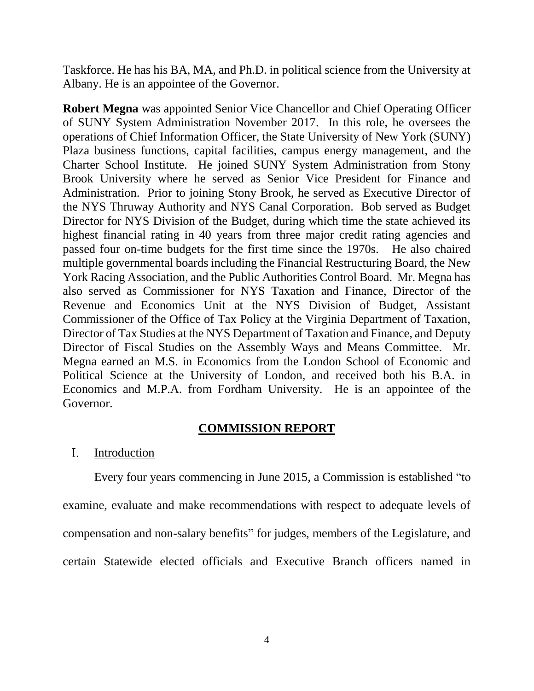Taskforce. He has his BA, MA, and Ph.D. in political science from the University at Albany. He is an appointee of the Governor.

**Robert Megna** was appointed Senior Vice Chancellor and Chief Operating Officer of SUNY System Administration November 2017. In this role, he oversees the operations of Chief Information Officer, the State University of New York (SUNY) Plaza business functions, capital facilities, campus energy management, and the Charter School Institute. He joined SUNY System Administration from Stony Brook University where he served as Senior Vice President for Finance and Administration. Prior to joining Stony Brook, he served as Executive Director of the NYS Thruway Authority and NYS Canal Corporation. Bob served as Budget Director for NYS Division of the Budget, during which time the state achieved its highest financial rating in 40 years from three major credit rating agencies and passed four on-time budgets for the first time since the 1970s. He also chaired multiple governmental boards including the Financial Restructuring Board, the New York Racing Association, and the Public Authorities Control Board. Mr. Megna has also served as Commissioner for NYS Taxation and Finance, Director of the Revenue and Economics Unit at the NYS Division of Budget, Assistant Commissioner of the Office of Tax Policy at the Virginia Department of Taxation, Director of Tax Studies at the NYS Department of Taxation and Finance, and Deputy Director of Fiscal Studies on the Assembly Ways and Means Committee. Mr. Megna earned an M.S. in Economics from the London School of Economic and Political Science at the University of London, and received both his B.A. in Economics and M.P.A. from Fordham University. He is an appointee of the Governor.

## **COMMISSION REPORT**

### $I_{\cdot}$ Introduction

Every four years commencing in June 2015, a Commission is established "to examine, evaluate and make recommendations with respect to adequate levels of compensation and non-salary benefits" for judges, members of the Legislature, and certain Statewide elected officials and Executive Branch officers named in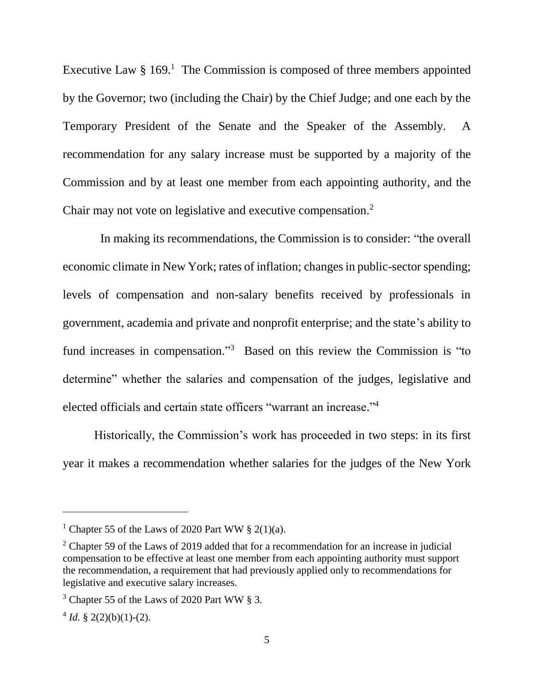Executive Law  $\S 169$ <sup>1</sup>. The Commission is composed of three members appointed by the Governor; two (including the Chair) by the Chief Judge; and one each by the Temporary President of the Senate and the Speaker of the Assembly. A recommendation for any salary increase must be supported by a majority of the Commission and by at least one member from each appointing authority, and the Chair may not vote on legislative and executive compensation.<sup>2</sup>

 In making its recommendations, the Commission is to consider: "the overall economic climate in New York; rates of inflation; changes in public-sector spending; levels of compensation and non-salary benefits received by professionals in government, academia and private and nonprofit enterprise; and the state's ability to fund increases in compensation."<sup>3</sup> Based on this review the Commission is "to determine" whether the salaries and compensation of the judges, legislative and elected officials and certain state officers "warrant an increase." 4

Historically, the Commission's work has proceeded in two steps: in its first year it makes a recommendation whether salaries for the judges of the New York

 $\overline{a}$ 

<sup>&</sup>lt;sup>1</sup> Chapter 55 of the Laws of 2020 Part WW  $\S$  2(1)(a).

 $2$  Chapter 59 of the Laws of 2019 added that for a recommendation for an increase in judicial compensation to be effective at least one member from each appointing authority must support the recommendation, a requirement that had previously applied only to recommendations for legislative and executive salary increases.

 $3$  Chapter 55 of the Laws of 2020 Part WW  $\S$  3.

 $4^4$  *Id.* § 2(2)(b)(1)-(2).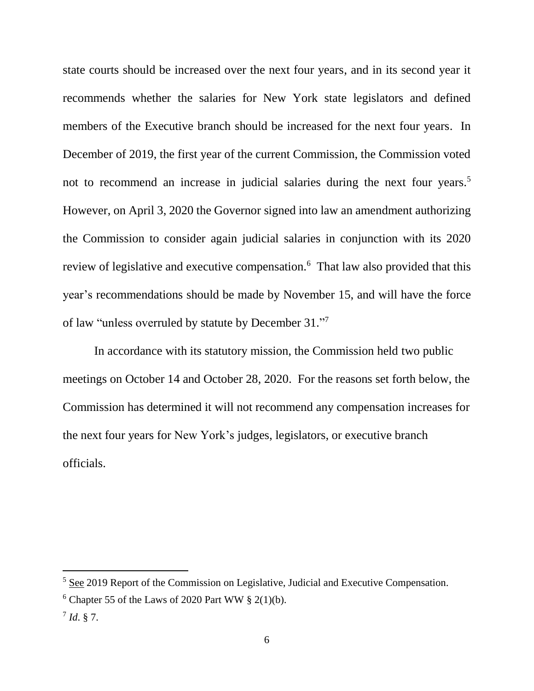state courts should be increased over the next four years, and in its second year it recommends whether the salaries for New York state legislators and defined members of the Executive branch should be increased for the next four years. In December of 2019, the first year of the current Commission, the Commission voted not to recommend an increase in judicial salaries during the next four years.<sup>5</sup> However, on April 3, 2020 the Governor signed into law an amendment authorizing the Commission to consider again judicial salaries in conjunction with its 2020 review of legislative and executive compensation.<sup>6</sup> That law also provided that this year's recommendations should be made by November 15, and will have the force of law "unless overruled by statute by December 31."7

In accordance with its statutory mission, the Commission held two public meetings on October 14 and October 28, 2020. For the reasons set forth below, the Commission has determined it will not recommend any compensation increases for the next four years for New York's judges, legislators, or executive branch officials.

<sup>5</sup> See 2019 Report of the Commission on Legislative, Judicial and Executive Compensation.

 $6$  Chapter 55 of the Laws of 2020 Part WW  $\S$  2(1)(b).

<sup>7</sup> *Id*. § 7.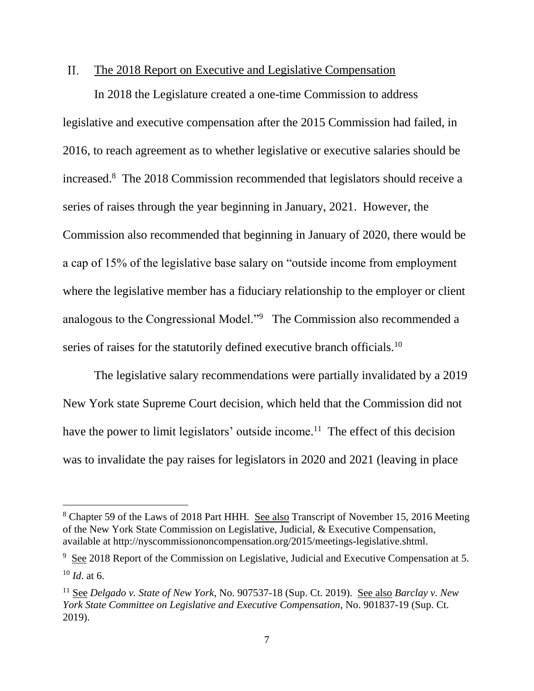#### $II.$ The 2018 Report on Executive and Legislative Compensation

In 2018 the Legislature created a one-time Commission to address legislative and executive compensation after the 2015 Commission had failed, in 2016, to reach agreement as to whether legislative or executive salaries should be increased. 8 The 2018 Commission recommended that legislators should receive a series of raises through the year beginning in January, 2021. However, the Commission also recommended that beginning in January of 2020, there would be a cap of 15% of the legislative base salary on "outside income from employment where the legislative member has a fiduciary relationship to the employer or client analogous to the Congressional Model."<sup>9</sup> The Commission also recommended a series of raises for the statutorily defined executive branch officials.<sup>10</sup>

The legislative salary recommendations were partially invalidated by a 2019 New York state Supreme Court decision, which held that the Commission did not have the power to limit legislators' outside income.<sup>11</sup> The effect of this decision was to invalidate the pay raises for legislators in 2020 and 2021 (leaving in place

<sup>&</sup>lt;sup>8</sup> Chapter 59 of the Laws of 2018 Part HHH. See also Transcript of November 15, 2016 Meeting of the New York State Commission on Legislative, Judicial, & Executive Compensation, available at http://nyscommissiononcompensation.org/2015/meetings-legislative.shtml.

 $9\text{ See } 2018$  Report of the Commission on Legislative, Judicial and Executive Compensation at 5. <sup>10</sup> *Id*. at 6.

<sup>11</sup> See *Delgado v. State of New York*, No. 907537-18 (Sup. Ct. 2019). See also *Barclay v. New York State Committee on Legislative and Executive Compensation*, No. 901837-19 (Sup. Ct. 2019).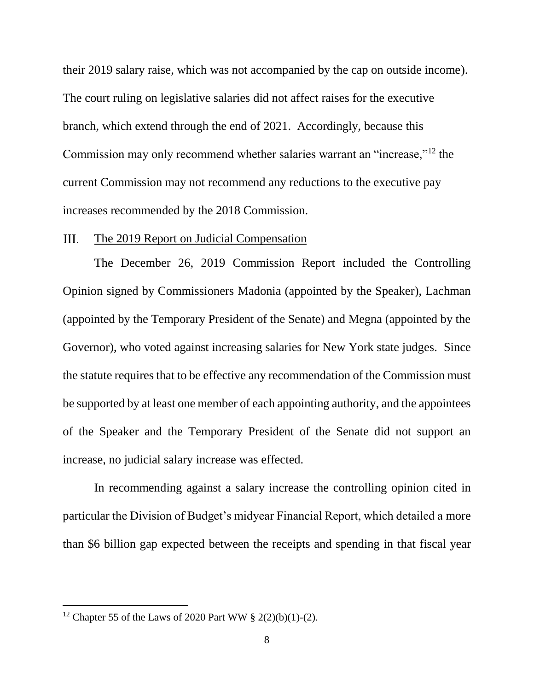their 2019 salary raise, which was not accompanied by the cap on outside income). The court ruling on legislative salaries did not affect raises for the executive branch, which extend through the end of 2021. Accordingly, because this Commission may only recommend whether salaries warrant an "increase,"<sup>12</sup> the current Commission may not recommend any reductions to the executive pay increases recommended by the 2018 Commission.

### The 2019 Report on Judicial Compensation III.

The December 26, 2019 Commission Report included the Controlling Opinion signed by Commissioners Madonia (appointed by the Speaker), Lachman (appointed by the Temporary President of the Senate) and Megna (appointed by the Governor), who voted against increasing salaries for New York state judges. Since the statute requires that to be effective any recommendation of the Commission must be supported by at least one member of each appointing authority, and the appointees of the Speaker and the Temporary President of the Senate did not support an increase, no judicial salary increase was effected.

In recommending against a salary increase the controlling opinion cited in particular the Division of Budget's midyear Financial Report, which detailed a more than \$6 billion gap expected between the receipts and spending in that fiscal year

 $\overline{a}$ 

<sup>&</sup>lt;sup>12</sup> Chapter 55 of the Laws of 2020 Part WW  $\S 2(2)(b)(1)-(2)$ .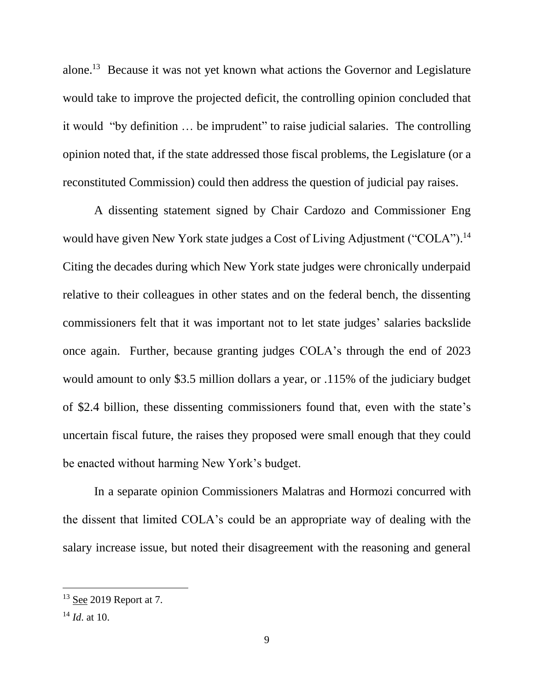alone.<sup>13</sup> Because it was not yet known what actions the Governor and Legislature would take to improve the projected deficit, the controlling opinion concluded that it would "by definition … be imprudent" to raise judicial salaries. The controlling opinion noted that, if the state addressed those fiscal problems, the Legislature (or a reconstituted Commission) could then address the question of judicial pay raises.

A dissenting statement signed by Chair Cardozo and Commissioner Eng would have given New York state judges a Cost of Living Adjustment ("COLA").<sup>14</sup> Citing the decades during which New York state judges were chronically underpaid relative to their colleagues in other states and on the federal bench, the dissenting commissioners felt that it was important not to let state judges' salaries backslide once again. Further, because granting judges COLA's through the end of 2023 would amount to only \$3.5 million dollars a year, or .115% of the judiciary budget of \$2.4 billion, these dissenting commissioners found that, even with the state's uncertain fiscal future, the raises they proposed were small enough that they could be enacted without harming New York's budget.

In a separate opinion Commissioners Malatras and Hormozi concurred with the dissent that limited COLA's could be an appropriate way of dealing with the salary increase issue, but noted their disagreement with the reasoning and general

 $13$  See 2019 Report at 7.

<sup>14</sup> *Id*. at 10.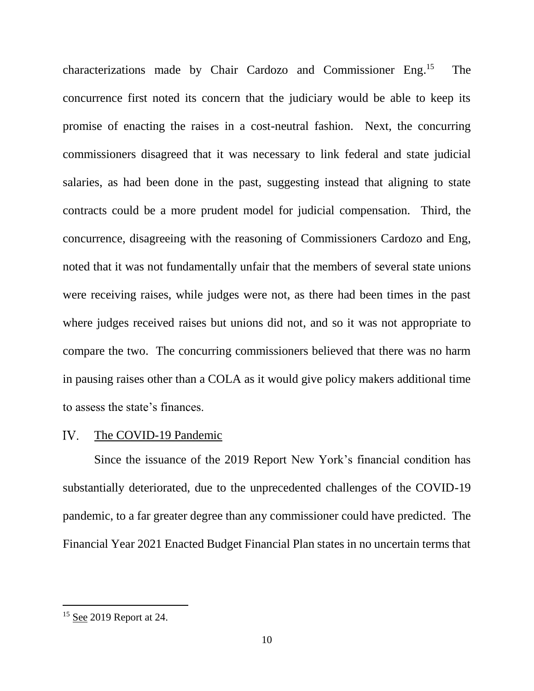characterizations made by Chair Cardozo and Commissioner Eng. 15 The concurrence first noted its concern that the judiciary would be able to keep its promise of enacting the raises in a cost-neutral fashion. Next, the concurring commissioners disagreed that it was necessary to link federal and state judicial salaries, as had been done in the past, suggesting instead that aligning to state contracts could be a more prudent model for judicial compensation. Third, the concurrence, disagreeing with the reasoning of Commissioners Cardozo and Eng, noted that it was not fundamentally unfair that the members of several state unions were receiving raises, while judges were not, as there had been times in the past where judges received raises but unions did not, and so it was not appropriate to compare the two. The concurring commissioners believed that there was no harm in pausing raises other than a COLA as it would give policy makers additional time to assess the state's finances.

#### $IV.$ The COVID-19 Pandemic

Since the issuance of the 2019 Report New York's financial condition has substantially deteriorated, due to the unprecedented challenges of the COVID-19 pandemic, to a far greater degree than any commissioner could have predicted. The Financial Year 2021 Enacted Budget Financial Plan states in no uncertain terms that

 $\overline{a}$ 

 $15$  See 2019 Report at 24.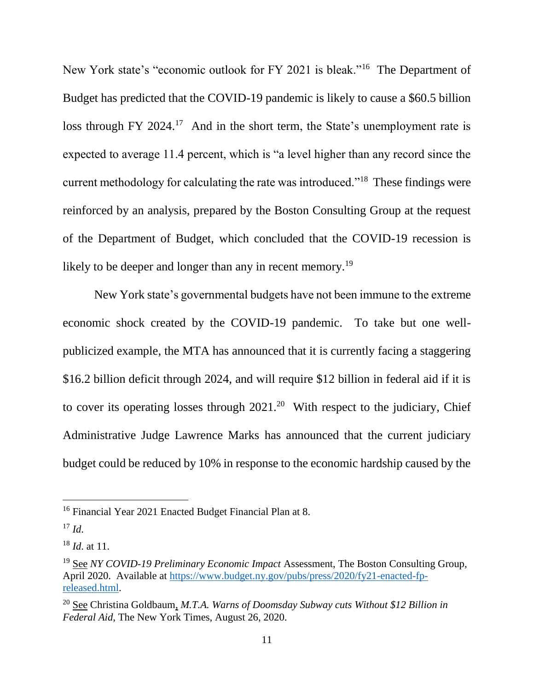New York state's "economic outlook for FY 2021 is bleak."<sup>16</sup> The Department of Budget has predicted that the COVID-19 pandemic is likely to cause a \$60.5 billion loss through FY 2024.<sup>17</sup> And in the short term, the State's unemployment rate is expected to average 11.4 percent, which is "a level higher than any record since the current methodology for calculating the rate was introduced."<sup>18</sup> These findings were reinforced by an analysis, prepared by the Boston Consulting Group at the request of the Department of Budget, which concluded that the COVID-19 recession is likely to be deeper and longer than any in recent memory.<sup>19</sup>

New York state's governmental budgets have not been immune to the extreme economic shock created by the COVID-19 pandemic. To take but one wellpublicized example, the MTA has announced that it is currently facing a staggering \$16.2 billion deficit through 2024, and will require \$12 billion in federal aid if it is to cover its operating losses through  $2021<sup>20</sup>$  With respect to the judiciary, Chief Administrative Judge Lawrence Marks has announced that the current judiciary budget could be reduced by 10% in response to the economic hardship caused by the

<sup>&</sup>lt;sup>16</sup> Financial Year 2021 Enacted Budget Financial Plan at 8.

 $17$  *Id.* 

<sup>18</sup> *Id*. at 11.

<sup>19</sup> See *NY COVID-19 Preliminary Economic Impact* Assessment, The Boston Consulting Group, April 2020. Available at [https://www.budget.ny.gov/pubs/press/2020/fy21-enacted-fp](https://www.budget.ny.gov/pubs/press/2020/fy21-enacted-fp-released.html)[released.html.](https://www.budget.ny.gov/pubs/press/2020/fy21-enacted-fp-released.html)

<sup>20</sup> See Christina Goldbaum, *M.T.A. Warns of Doomsday Subway cuts Without \$12 Billion in Federal Aid*, The New York Times, August 26, 2020.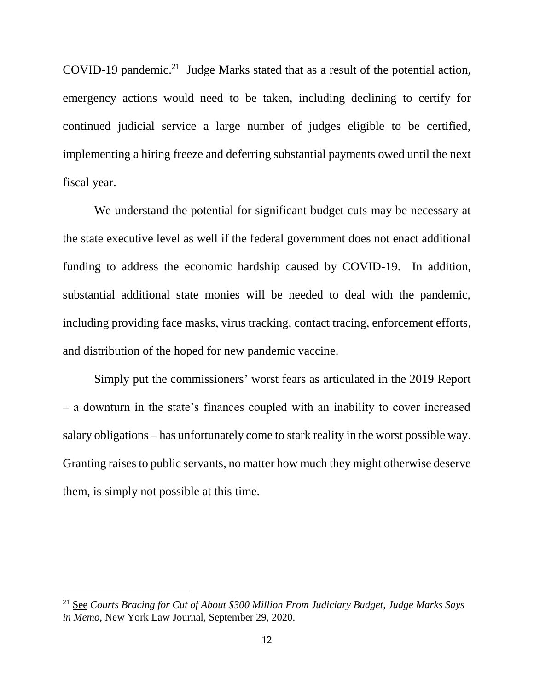COVID-19 pandemic.<sup>21</sup> Judge Marks stated that as a result of the potential action, emergency actions would need to be taken, including declining to certify for continued judicial service a large number of judges eligible to be certified, implementing a hiring freeze and deferring substantial payments owed until the next fiscal year.

We understand the potential for significant budget cuts may be necessary at the state executive level as well if the federal government does not enact additional funding to address the economic hardship caused by COVID-19. In addition, substantial additional state monies will be needed to deal with the pandemic, including providing face masks, virus tracking, contact tracing, enforcement efforts, and distribution of the hoped for new pandemic vaccine.

Simply put the commissioners' worst fears as articulated in the 2019 Report – a downturn in the state's finances coupled with an inability to cover increased salary obligations – has unfortunately come to stark reality in the worst possible way. Granting raises to public servants, no matter how much they might otherwise deserve them, is simply not possible at this time.

<sup>21</sup> See *Courts Bracing for Cut of About \$300 Million From Judiciary Budget, Judge Marks Says in Memo*, New York Law Journal, September 29, 2020.